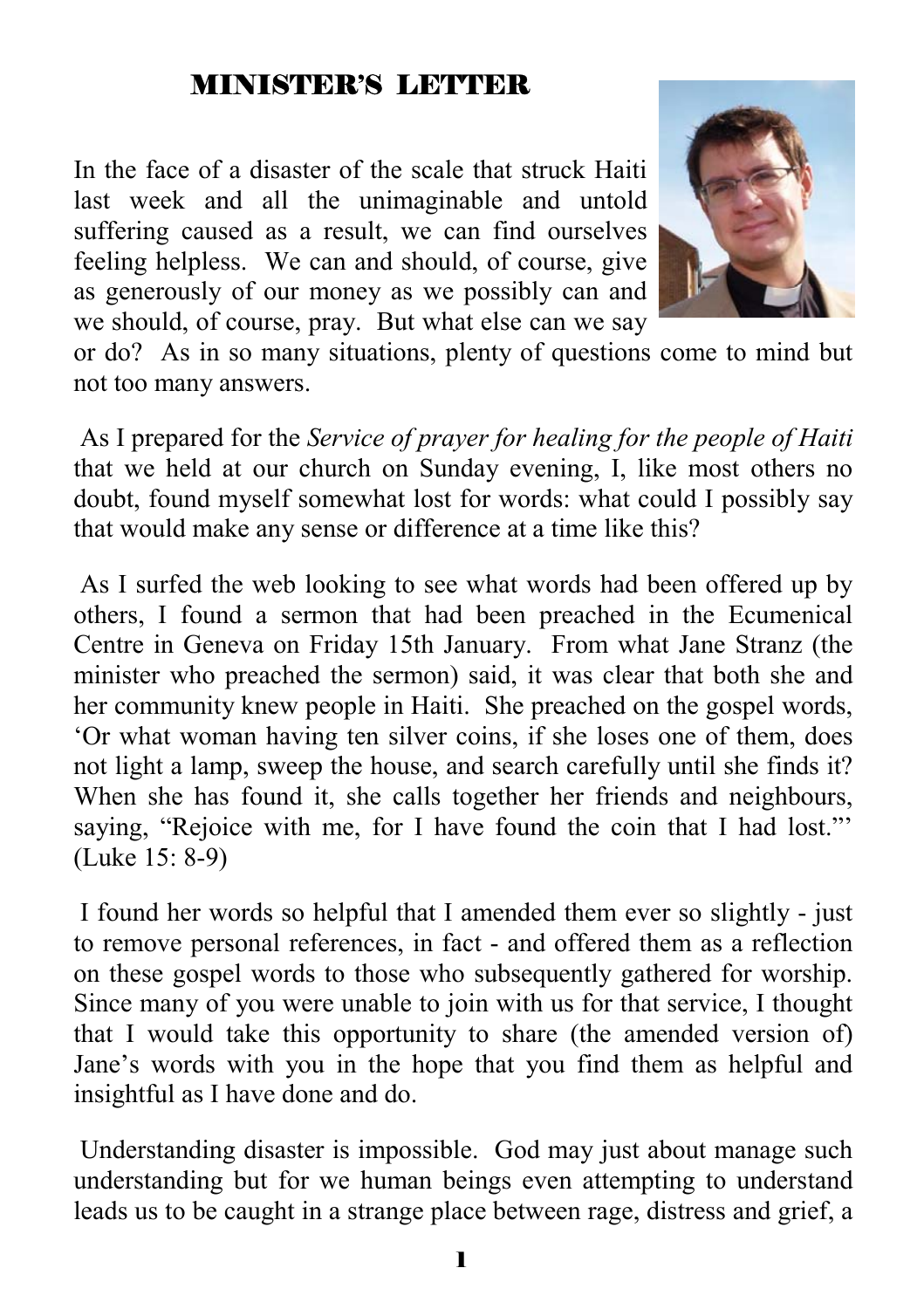#### MINISTER'S LETTER

In the face of a disaster of the scale that struck Haiti last week and all the unimaginable and untold suffering caused as a result, we can find ourselves feeling helpless. We can and should, of course, give as generously of our money as we possibly can and we should, of course, pray. But what else can we say



or do? As in so many situations, plenty of questions come to mind but not too many answers.

 As I prepared for the *Service of prayer for healing for the people of Haiti* that we held at our church on Sunday evening, I, like most others no doubt, found myself somewhat lost for words: what could I possibly say that would make any sense or difference at a time like this?

 As I surfed the web looking to see what words had been offered up by others, I found a sermon that had been preached in the Ecumenical Centre in Geneva on Friday 15th January. From what Jane Stranz (the minister who preached the sermon) said, it was clear that both she and her community knew people in Haiti. She preached on the gospel words, 'Or what woman having ten silver coins, if she loses one of them, does not light a lamp, sweep the house, and search carefully until she finds it? When she has found it, she calls together her friends and neighbours, saying, "Rejoice with me, for I have found the coin that I had lost." (Luke 15: 8-9)

 I found her words so helpful that I amended them ever so slightly - just to remove personal references, in fact - and offered them as a reflection on these gospel words to those who subsequently gathered for worship. Since many of you were unable to join with us for that service, I thought that I would take this opportunity to share (the amended version of) Jane's words with you in the hope that you find them as helpful and insightful as I have done and do.

 Understanding disaster is impossible. God may just about manage such understanding but for we human beings even attempting to understand leads us to be caught in a strange place between rage, distress and grief, a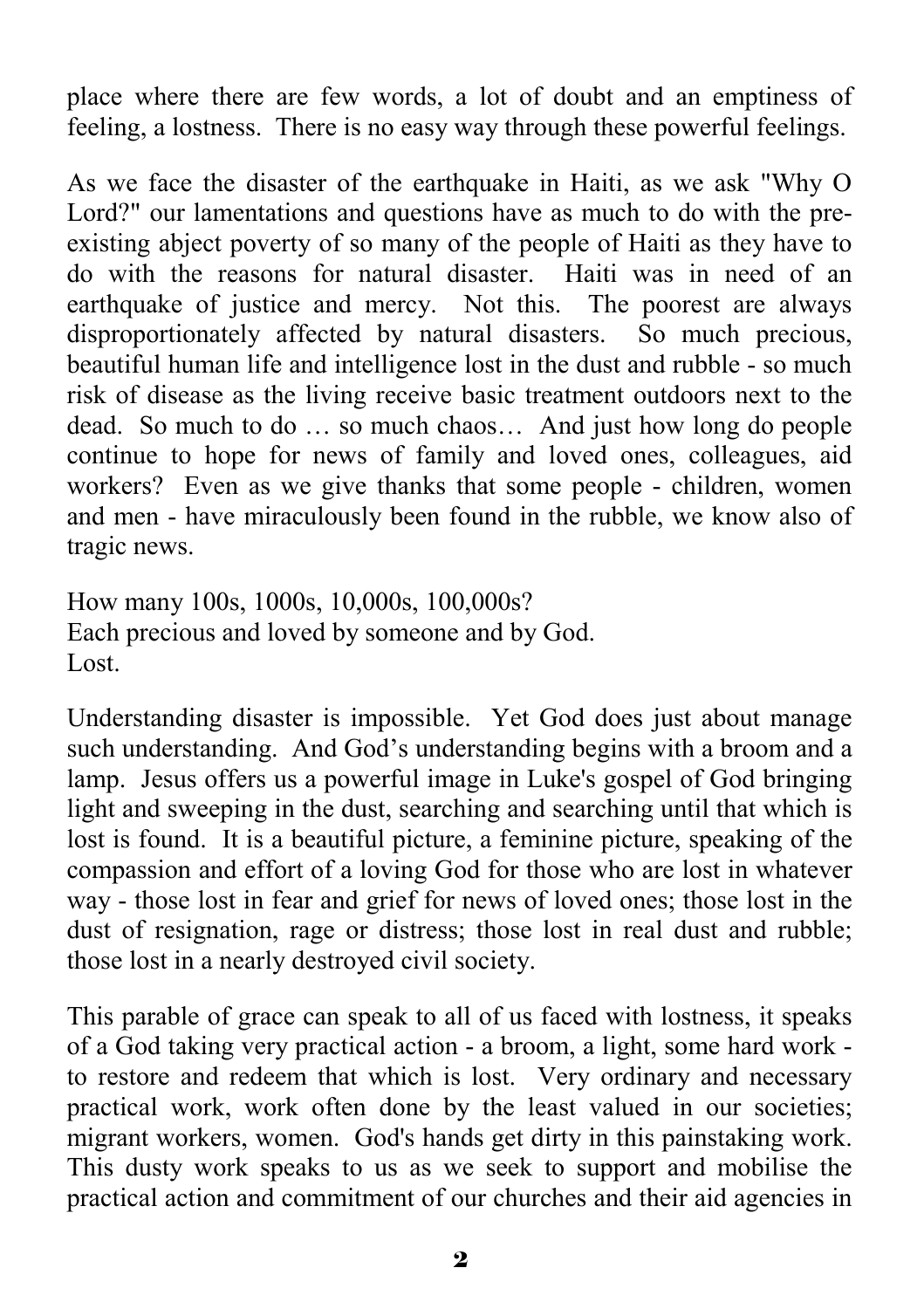place where there are few words, a lot of doubt and an emptiness of feeling, a lostness. There is no easy way through these powerful feelings.

As we face the disaster of the earthquake in Haiti, as we ask "Why O Lord?" our lamentations and questions have as much to do with the preexisting abject poverty of so many of the people of Haiti as they have to do with the reasons for natural disaster. Haiti was in need of an earthquake of justice and mercy. Not this. The poorest are always disproportionately affected by natural disasters. So much precious, beautiful human life and intelligence lost in the dust and rubble - so much risk of disease as the living receive basic treatment outdoors next to the dead. So much to do … so much chaos… And just how long do people continue to hope for news of family and loved ones, colleagues, aid workers? Even as we give thanks that some people - children, women and men - have miraculously been found in the rubble, we know also of tragic news.

How many 100s, 1000s, 10,000s, 100,000s? Each precious and loved by someone and by God. Lost.

Understanding disaster is impossible. Yet God does just about manage such understanding. And God's understanding begins with a broom and a lamp. Jesus offers us a powerful image in Luke's gospel of God bringing light and sweeping in the dust, searching and searching until that which is lost is found. It is a beautiful picture, a feminine picture, speaking of the compassion and effort of a loving God for those who are lost in whatever way - those lost in fear and grief for news of loved ones; those lost in the dust of resignation, rage or distress; those lost in real dust and rubble; those lost in a nearly destroyed civil society.

This parable of grace can speak to all of us faced with lostness, it speaks of a God taking very practical action - a broom, a light, some hard work to restore and redeem that which is lost. Very ordinary and necessary practical work, work often done by the least valued in our societies; migrant workers, women. God's hands get dirty in this painstaking work. This dusty work speaks to us as we seek to support and mobilise the practical action and commitment of our churches and their aid agencies in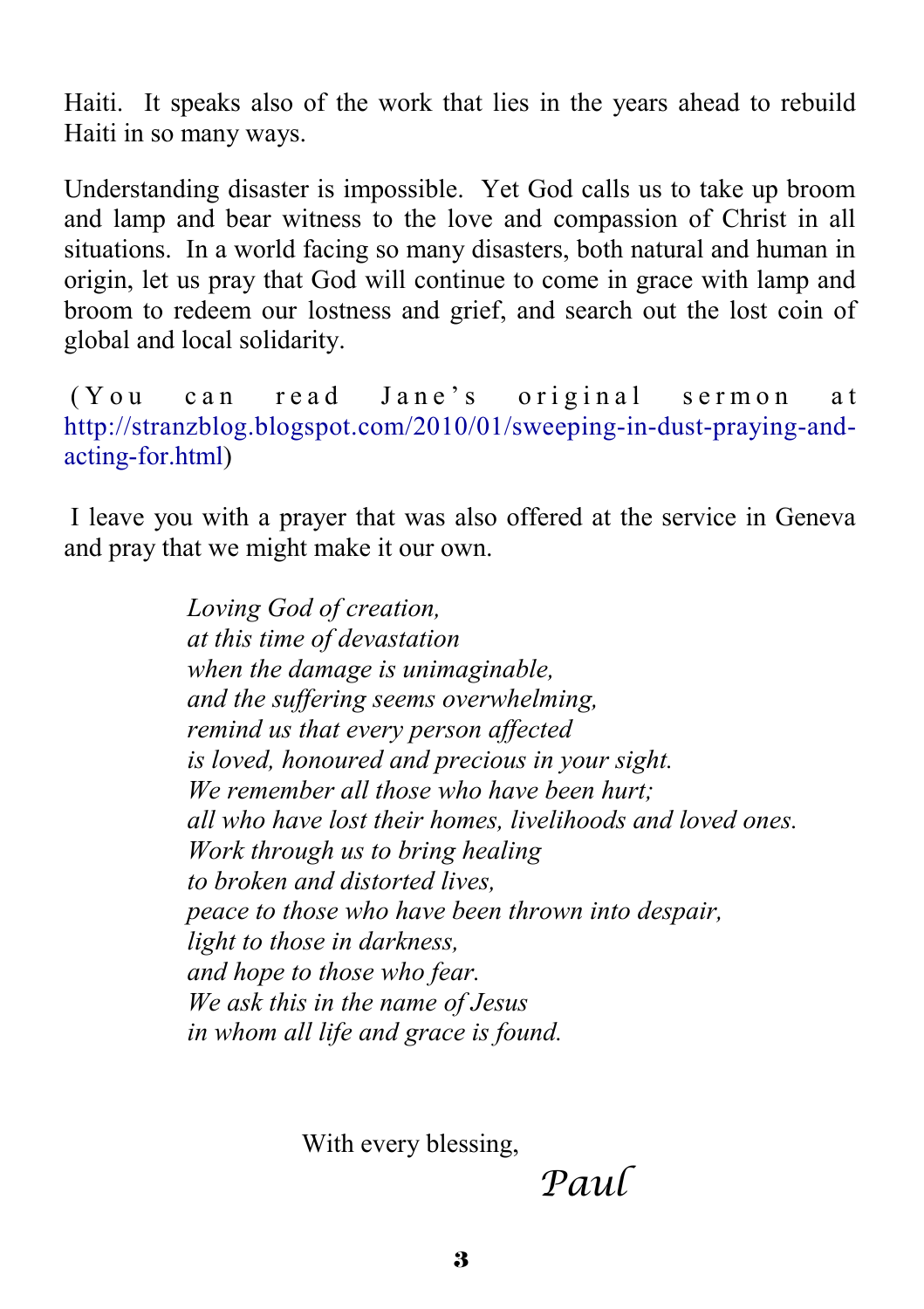Haiti. It speaks also of the work that lies in the years ahead to rebuild Haiti in so many ways.

Understanding disaster is impossible. Yet God calls us to take up broom and lamp and bear witness to the love and compassion of Christ in all situations. In a world facing so many disasters, both natural and human in origin, let us pray that God will continue to come in grace with lamp and broom to redeem our lostness and grief, and search out the lost coin of global and local solidarity.

(You can read Jane's original sermon at http://stranzblog.blogspot.com/2010/01/sweeping-in-dust-praying-andacting-for.html)

 I leave you with a prayer that was also offered at the service in Geneva and pray that we might make it our own.

> *Loving God of creation, at this time of devastation when the damage is unimaginable, and the suffering seems overwhelming, remind us that every person affected is loved, honoured and precious in your sight. We remember all those who have been hurt; all who have lost their homes, livelihoods and loved ones. Work through us to bring healing to broken and distorted lives, peace to those who have been thrown into despair, light to those in darkness, and hope to those who fear. We ask this in the name of Jesus in whom all life and grace is found.*

> > With every blessing,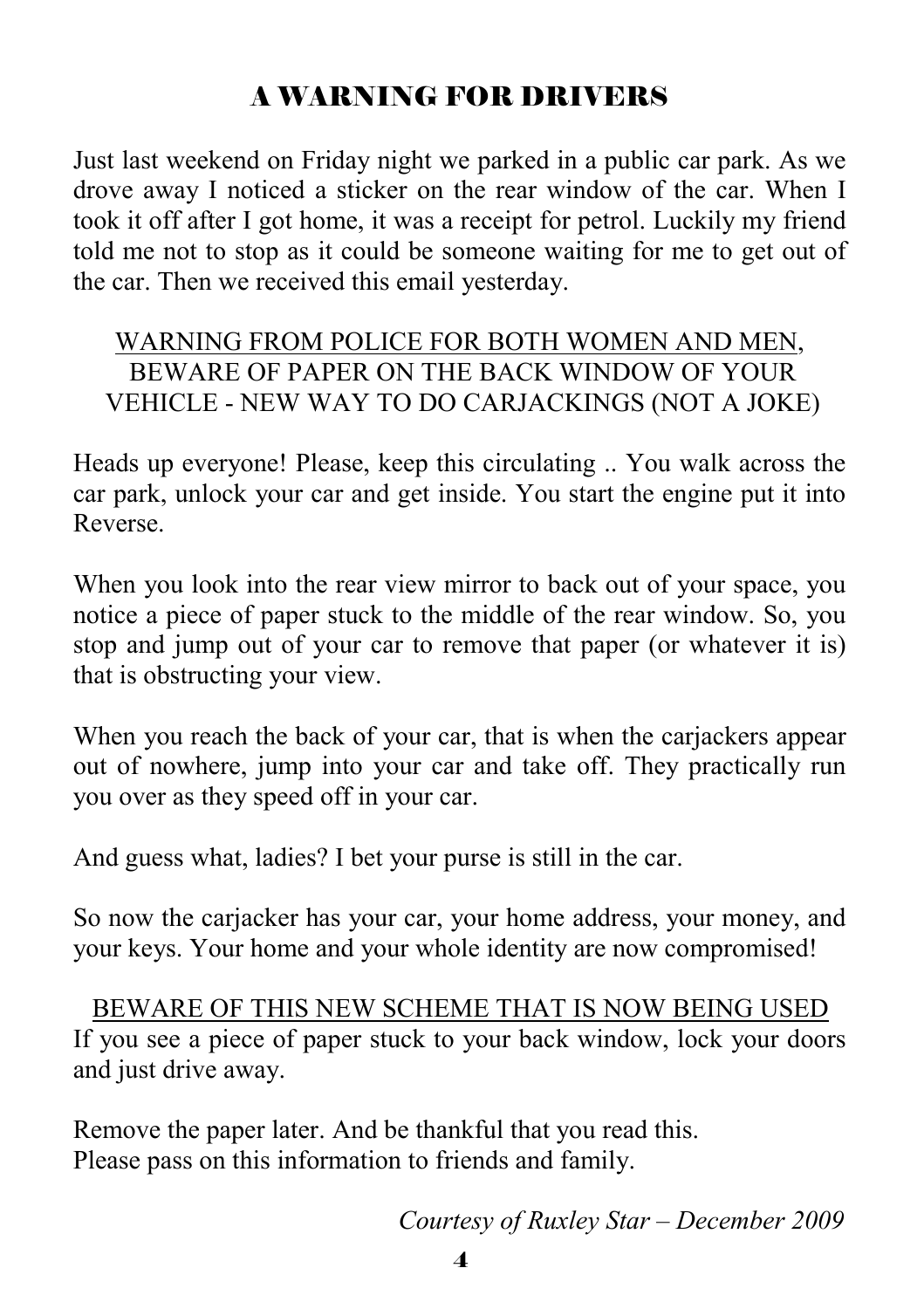# A WARNING FOR DRIVERS

Just last weekend on Friday night we parked in a public car park. As we drove away I noticed a sticker on the rear window of the car. When I took it off after I got home, it was a receipt for petrol. Luckily my friend told me not to stop as it could be someone waiting for me to get out of the car. Then we received this email yesterday.

#### WARNING FROM POLICE FOR BOTH WOMEN AND MEN, BEWARE OF PAPER ON THE BACK WINDOW OF YOUR VEHICLE - NEW WAY TO DO CARJACKINGS (NOT A JOKE)

Heads up everyone! Please, keep this circulating .. You walk across the car park, unlock your car and get inside. You start the engine put it into Reverse.

When you look into the rear view mirror to back out of your space, you notice a piece of paper stuck to the middle of the rear window. So, you stop and jump out of your car to remove that paper (or whatever it is) that is obstructing your view.

When you reach the back of your car, that is when the carjackers appear out of nowhere, jump into your car and take off. They practically run you over as they speed off in your car.

And guess what, ladies? I bet your purse is still in the car.

So now the carjacker has your car, your home address, your money, and your keys. Your home and your whole identity are now compromised!

 BEWARE OF THIS NEW SCHEME THAT IS NOW BEING USED If you see a piece of paper stuck to your back window, lock your doors and just drive away.

Remove the paper later. And be thankful that you read this. Please pass on this information to friends and family.

*Courtesy of Ruxley Star – December 2009*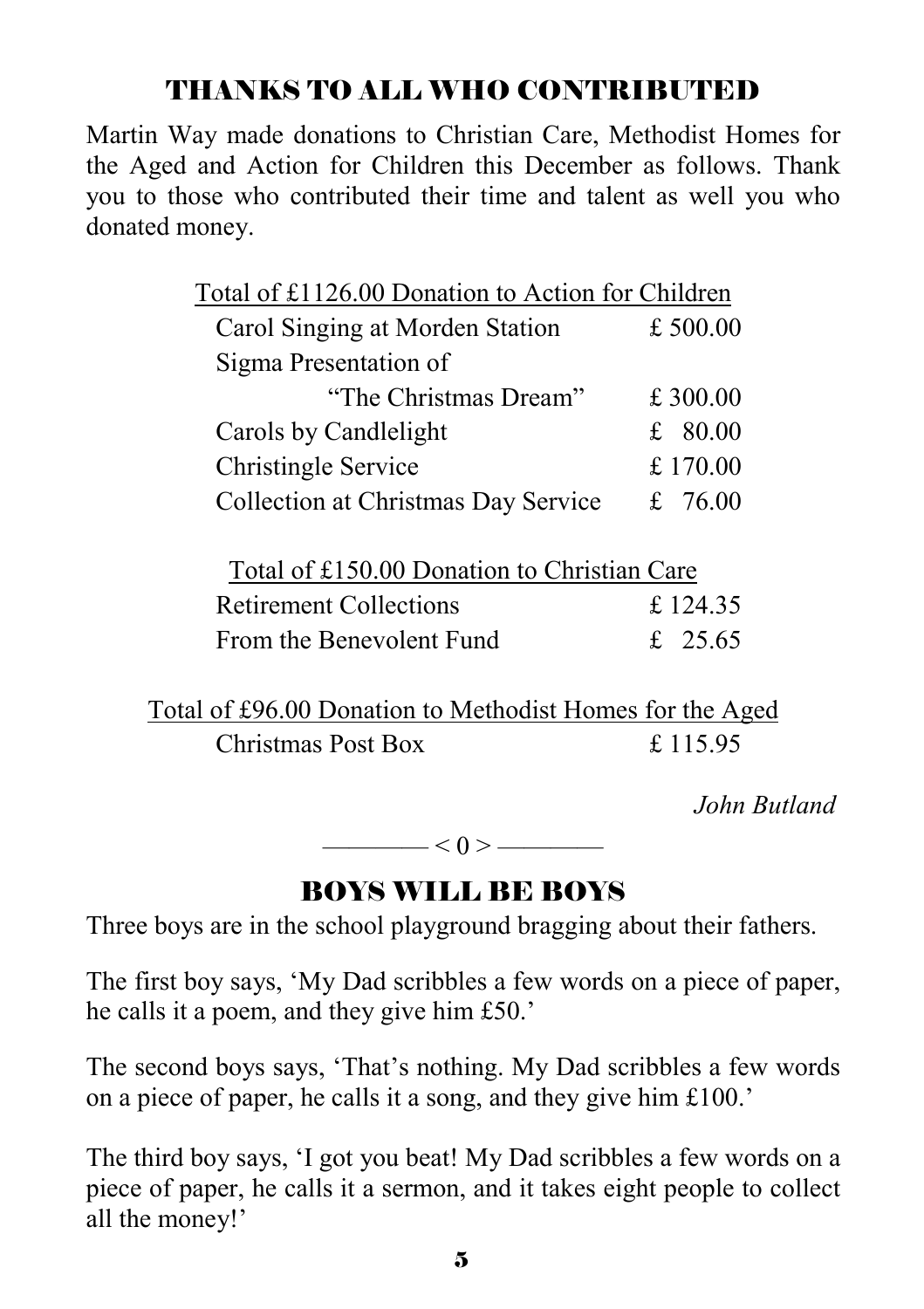# THANKS TO ALL WHO CONTRIBUTED

Martin Way made donations to Christian Care, Methodist Homes for the Aged and Action for Children this December as follows. Thank you to those who contributed their time and talent as well you who donated money.

| Total of £1126.00 Donation to Action for Children |           |
|---------------------------------------------------|-----------|
| Carol Singing at Morden Station                   | £500.00   |
| Sigma Presentation of                             |           |
| "The Christmas Dream"                             | £ 300.00  |
| Carols by Candlelight                             | £ $80.00$ |
| Christingle Service                               | £170.00   |
| Collection at Christmas Day Service               | £ 76.00   |
|                                                   |           |

| Total of £150.00 Donation to Christian Care |          |
|---------------------------------------------|----------|
| <b>Retirement Collections</b>               | £ 124.35 |
| From the Benevolent Fund                    | £ 25.65  |

Total of £96.00 Donation to Methodist Homes for the Aged Christmas Post Box £ 115.95

*John Butland* 

 $< 0 >$  ——————

# BOYS WILL BE BOYS

Three boys are in the school playground bragging about their fathers.

The first boy says, 'My Dad scribbles a few words on a piece of paper, he calls it a poem, and they give him £50.'

The second boys says, 'That's nothing. My Dad scribbles a few words on a piece of paper, he calls it a song, and they give him £100.'

The third boy says, 'I got you beat! My Dad scribbles a few words on a piece of paper, he calls it a sermon, and it takes eight people to collect all the money!'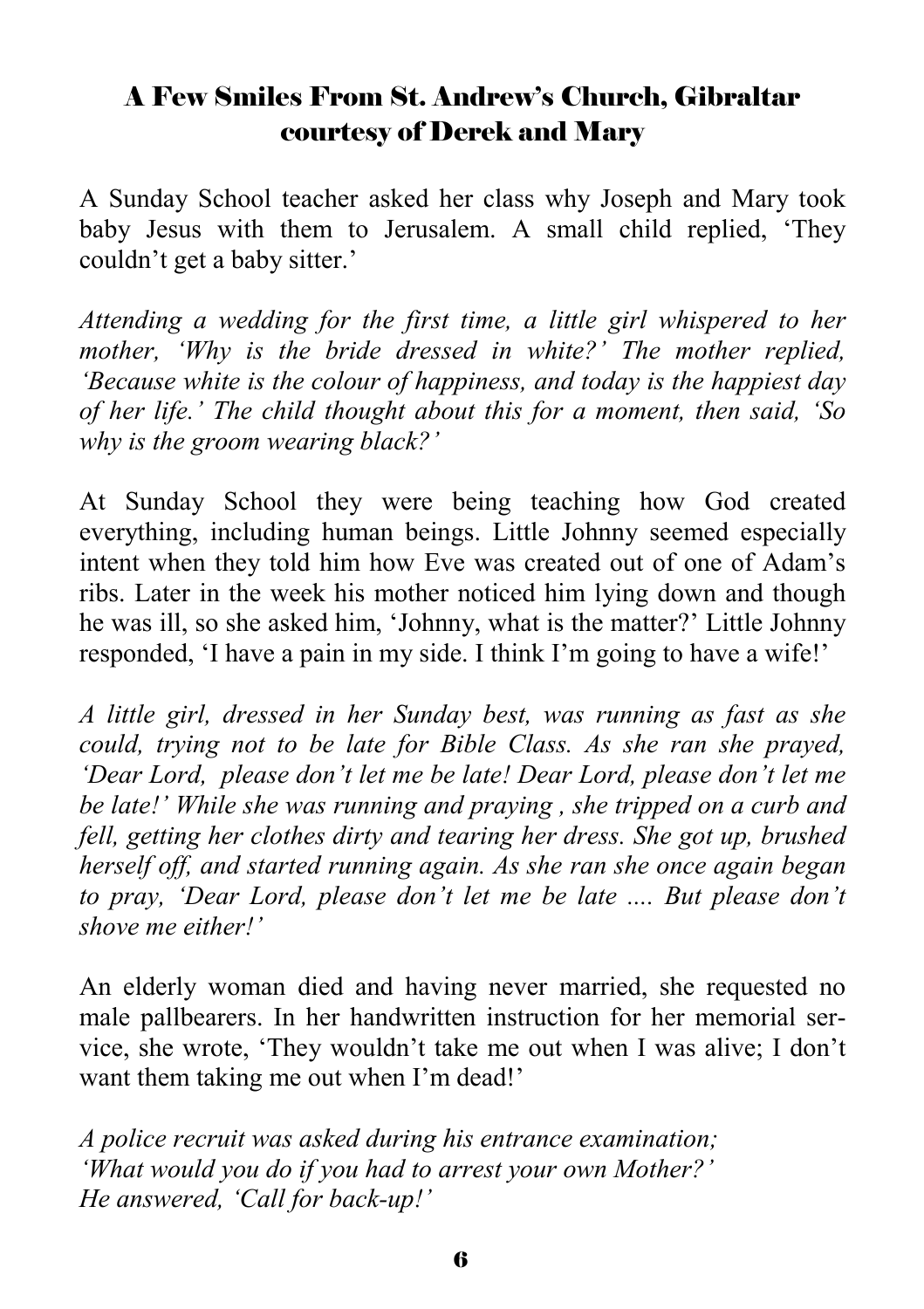#### A Few Smiles From St. Andrew's Church, Gibraltar courtesy of Derek and Mary

A Sunday School teacher asked her class why Joseph and Mary took baby Jesus with them to Jerusalem. A small child replied, 'They couldn't get a baby sitter.'

*Attending a wedding for the first time, a little girl whispered to her mother, 'Why is the bride dressed in white?' The mother replied, 'Because white is the colour of happiness, and today is the happiest day of her life.' The child thought about this for a moment, then said, 'So why is the groom wearing black?'* 

At Sunday School they were being teaching how God created everything, including human beings. Little Johnny seemed especially intent when they told him how Eve was created out of one of Adam's ribs. Later in the week his mother noticed him lying down and though he was ill, so she asked him, 'Johnny, what is the matter?' Little Johnny responded, 'I have a pain in my side. I think I'm going to have a wife!'

*A little girl, dressed in her Sunday best, was running as fast as she could, trying not to be late for Bible Class. As she ran she prayed, 'Dear Lord, please don't let me be late! Dear Lord, please don't let me be late!' While she was running and praying , she tripped on a curb and fell, getting her clothes dirty and tearing her dress. She got up, brushed herself off, and started running again. As she ran she once again began to pray, 'Dear Lord, please don't let me be late .... But please don't shove me either!'* 

An elderly woman died and having never married, she requested no male pallbearers. In her handwritten instruction for her memorial service, she wrote, 'They wouldn't take me out when I was alive; I don't want them taking me out when I'm dead!'

*A police recruit was asked during his entrance examination; 'What would you do if you had to arrest your own Mother?' He answered, 'Call for back-up!'*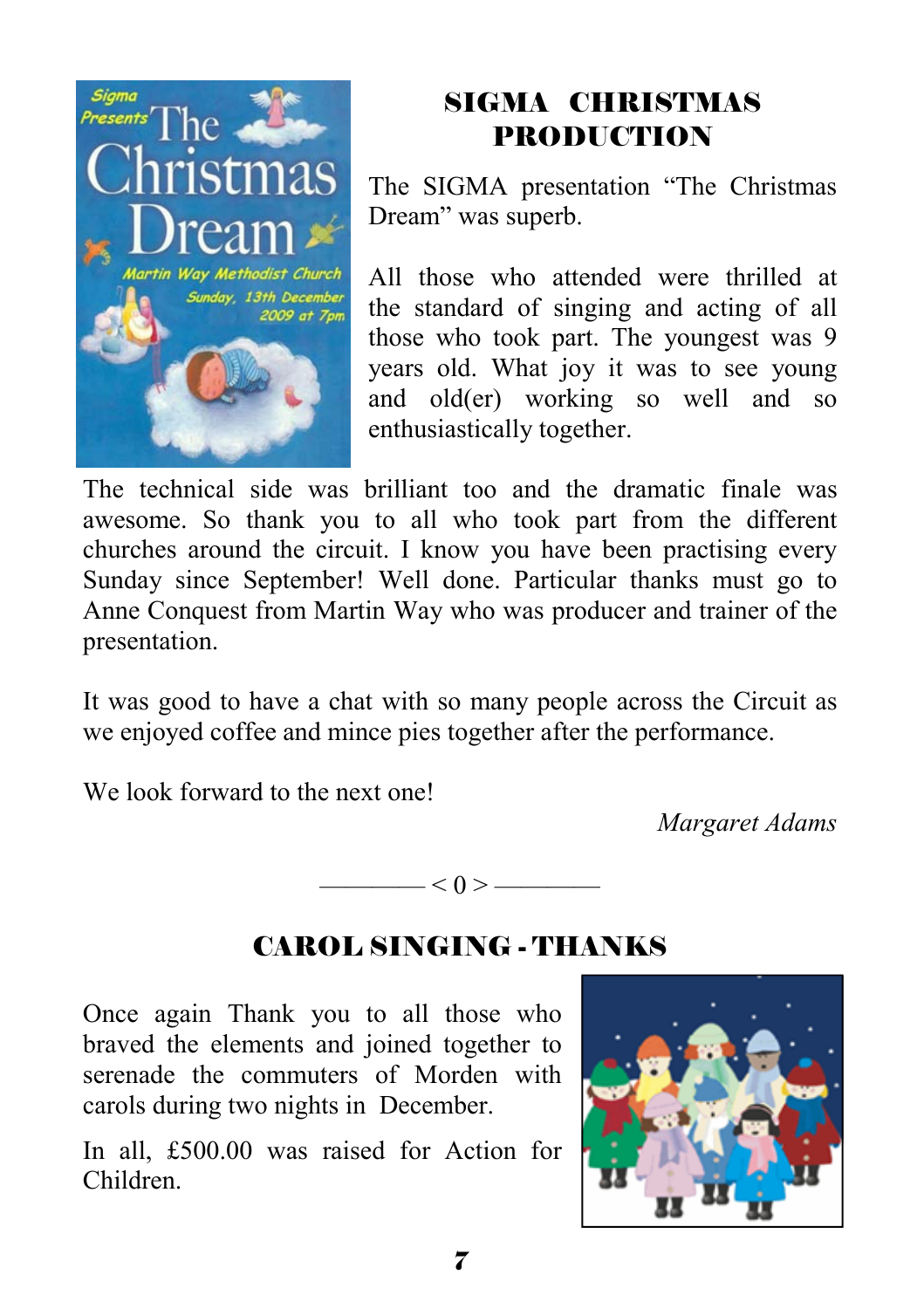

# SIGMA CHRISTMAS PRODUCTION

The SIGMA presentation "The Christmas Dream" was superb.

All those who attended were thrilled at the standard of singing and acting of all those who took part. The youngest was 9 years old. What joy it was to see young and old(er) working so well and so enthusiastically together.

The technical side was brilliant too and the dramatic finale was awesome. So thank you to all who took part from the different churches around the circuit. I know you have been practising every Sunday since September! Well done. Particular thanks must go to Anne Conquest from Martin Way who was producer and trainer of the presentation.

It was good to have a chat with so many people across the Circuit as we enjoyed coffee and mince pies together after the performance.

We look forward to the next one!

*Margaret Adams*



# CAROL SINGING - THANKS

Once again Thank you to all those who braved the elements and joined together to serenade the commuters of Morden with carols during two nights in December.

In all, £500.00 was raised for Action for Children.

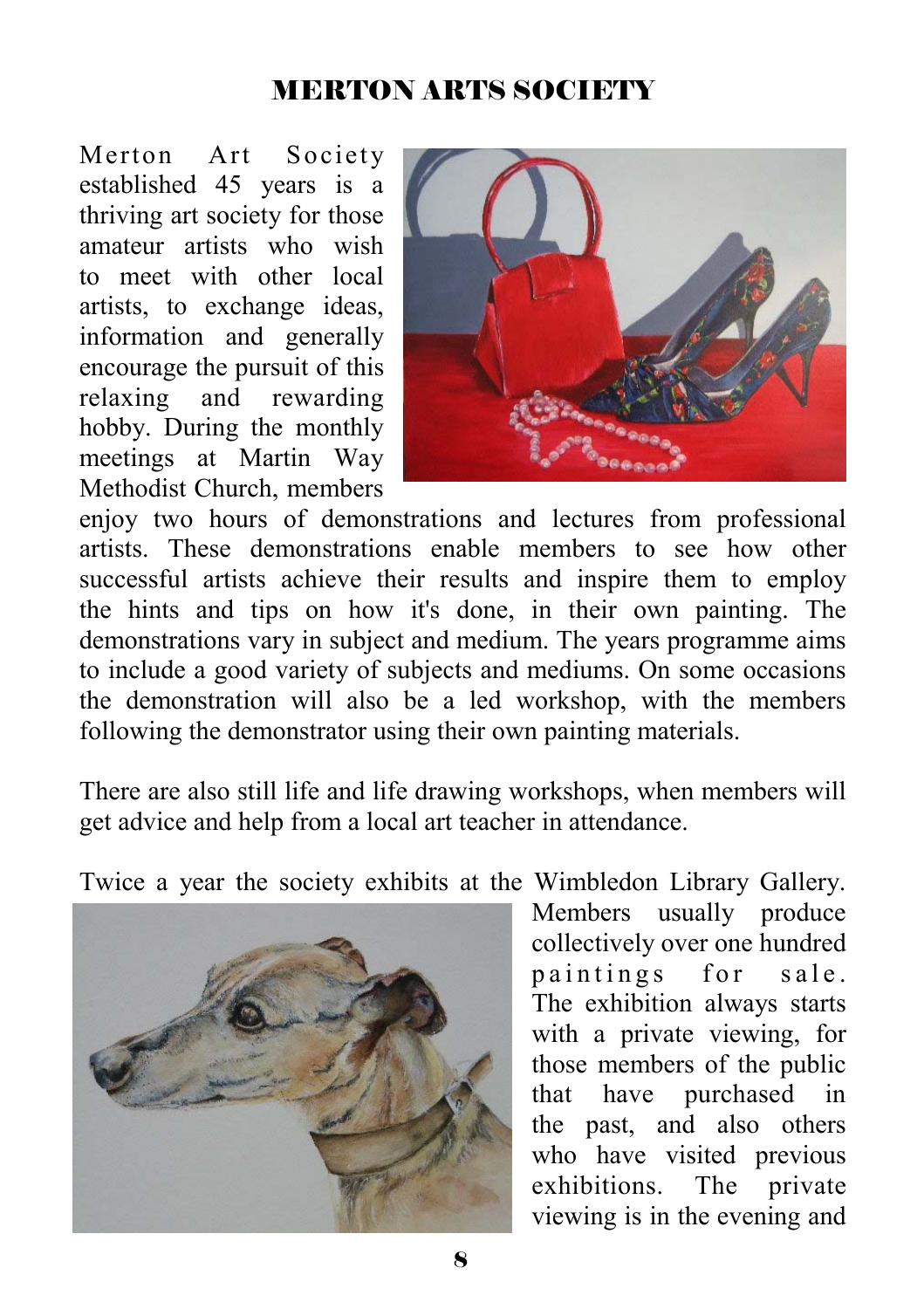#### MERTON ARTS SOCIETY

Merton Art Society established 45 years is a thriving art society for those amateur artists who wish to meet with other local artists, to exchange ideas, information and generally encourage the pursuit of this relaxing and rewarding hobby. During the monthly meetings at Martin Way Methodist Church, members



enjoy two hours of demonstrations and lectures from professional artists. These demonstrations enable members to see how other successful artists achieve their results and inspire them to employ the hints and tips on how it's done, in their own painting. The demonstrations vary in subject and medium. The years programme aims to include a good variety of subjects and mediums. On some occasions the demonstration will also be a led workshop, with the members following the demonstrator using their own painting materials.

There are also still life and life drawing workshops, when members will get advice and help from a local art teacher in attendance.

Twice a year the society exhibits at the Wimbledon Library Gallery.



Members usually produce collectively over one hundred paintings for sale. The exhibition always starts with a private viewing, for those members of the public that have purchased in the past, and also others who have visited previous exhibitions. The private viewing is in the evening and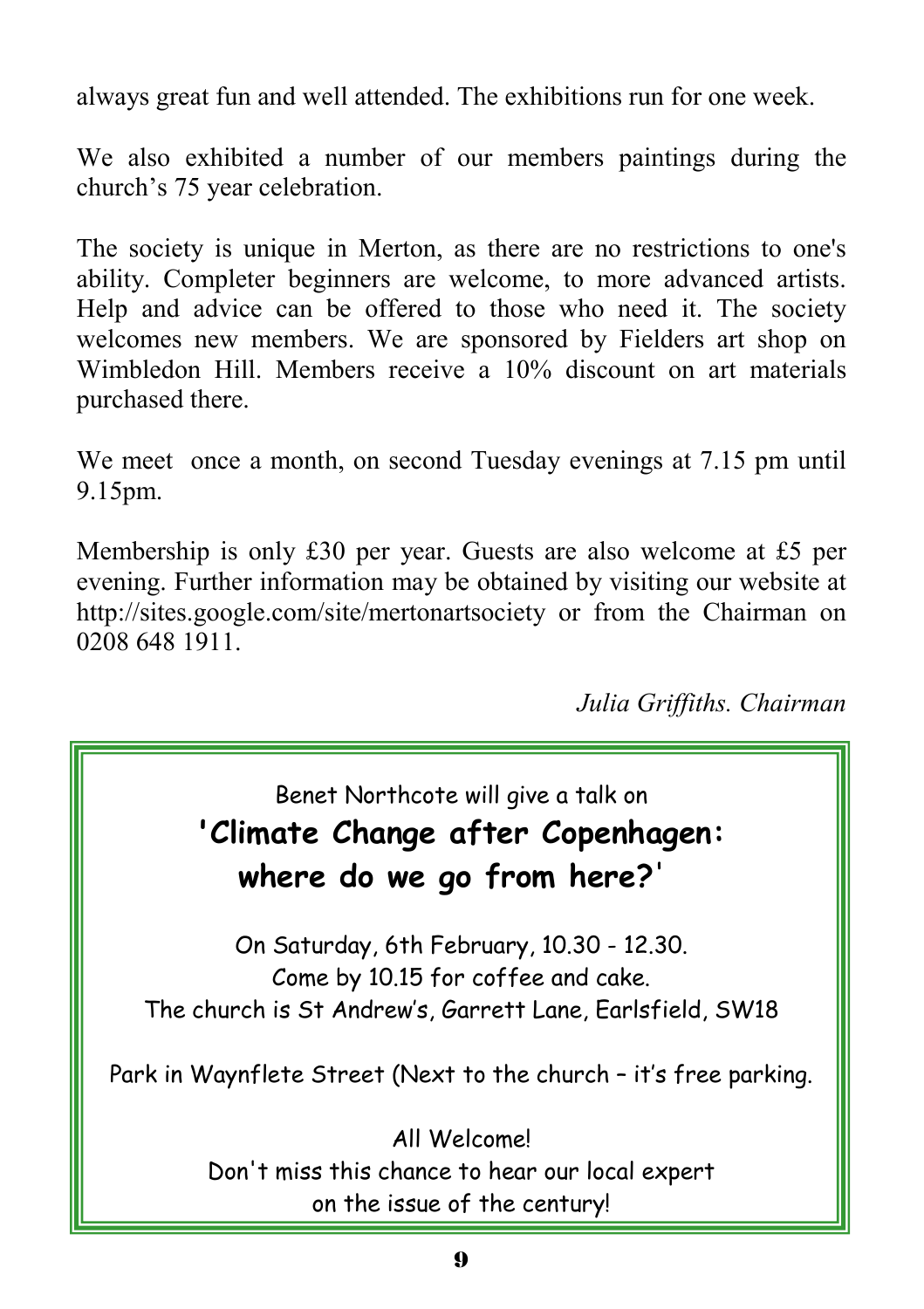always great fun and well attended. The exhibitions run for one week.

We also exhibited a number of our members paintings during the church's 75 year celebration.

The society is unique in Merton, as there are no restrictions to one's ability. Completer beginners are welcome, to more advanced artists. Help and advice can be offered to those who need it. The society welcomes new members. We are sponsored by Fielders art shop on Wimbledon Hill. Members receive a 10% discount on art materials purchased there.

We meet once a month, on second Tuesday evenings at 7.15 pm until 9.15pm.

Membership is only £30 per year. Guests are also welcome at £5 per evening. Further information may be obtained by visiting our website at http://sites.google.com/site/mertonartsociety or from the Chairman on 0208 648 1911.

*Julia Griffiths. Chairman* 

#### Benet Northcote will give a talk on **'Climate Change after Copenhagen:**

# **where do we go from here?**'

On Saturday, 6th February, 10.30 - 12.30. Come by 10.15 for coffee and cake. The church is St Andrew's, Garrett Lane, Earlsfield, SW18

Park in Waynflete Street (Next to the church – it's free parking.

All Welcome! Don't miss this chance to hear our local expert on the issue of the century!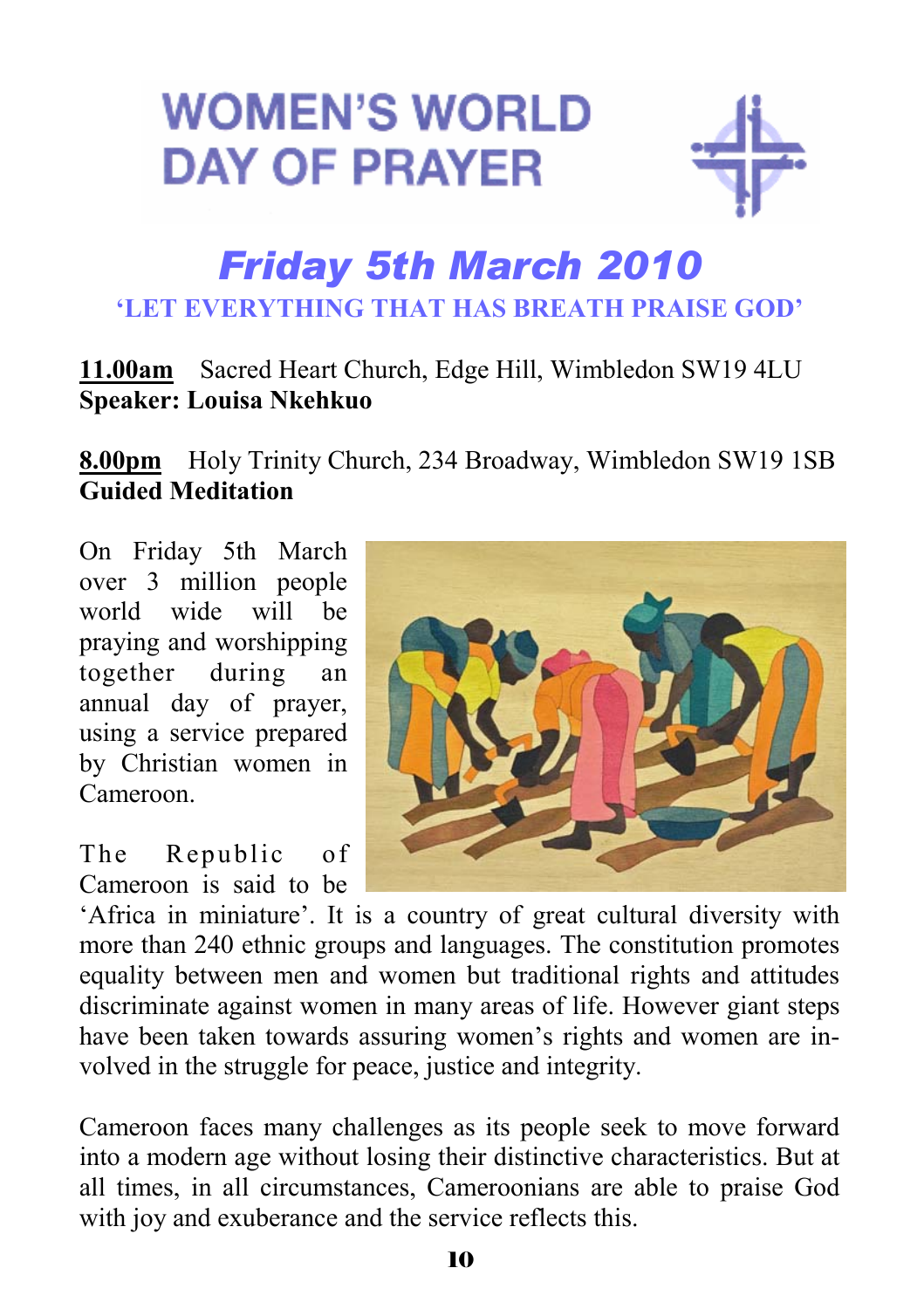# **WOMEN'S WORLD DAY OF PRAYER**



# *Friday 5th March 2010*  **'LET EVERYTHING THAT HAS BREATH PRAISE GOD'**

#### **11.00am** Sacred Heart Church, Edge Hill, Wimbledon SW19 4LU **Speaker: Louisa Nkehkuo**

**8.00pm** Holy Trinity Church, 234 Broadway, Wimbledon SW19 1SB **Guided Meditation** 

On Friday 5th March over 3 million people world wide will be praying and worshipping together during an annual day of prayer, using a service prepared by Christian women in Cameroon.

The Republic of Cameroon is said to be



'Africa in miniature'. It is a country of great cultural diversity with more than 240 ethnic groups and languages. The constitution promotes equality between men and women but traditional rights and attitudes discriminate against women in many areas of life. However giant steps have been taken towards assuring women's rights and women are involved in the struggle for peace, justice and integrity.

Cameroon faces many challenges as its people seek to move forward into a modern age without losing their distinctive characteristics. But at all times, in all circumstances, Cameroonians are able to praise God with joy and exuberance and the service reflects this.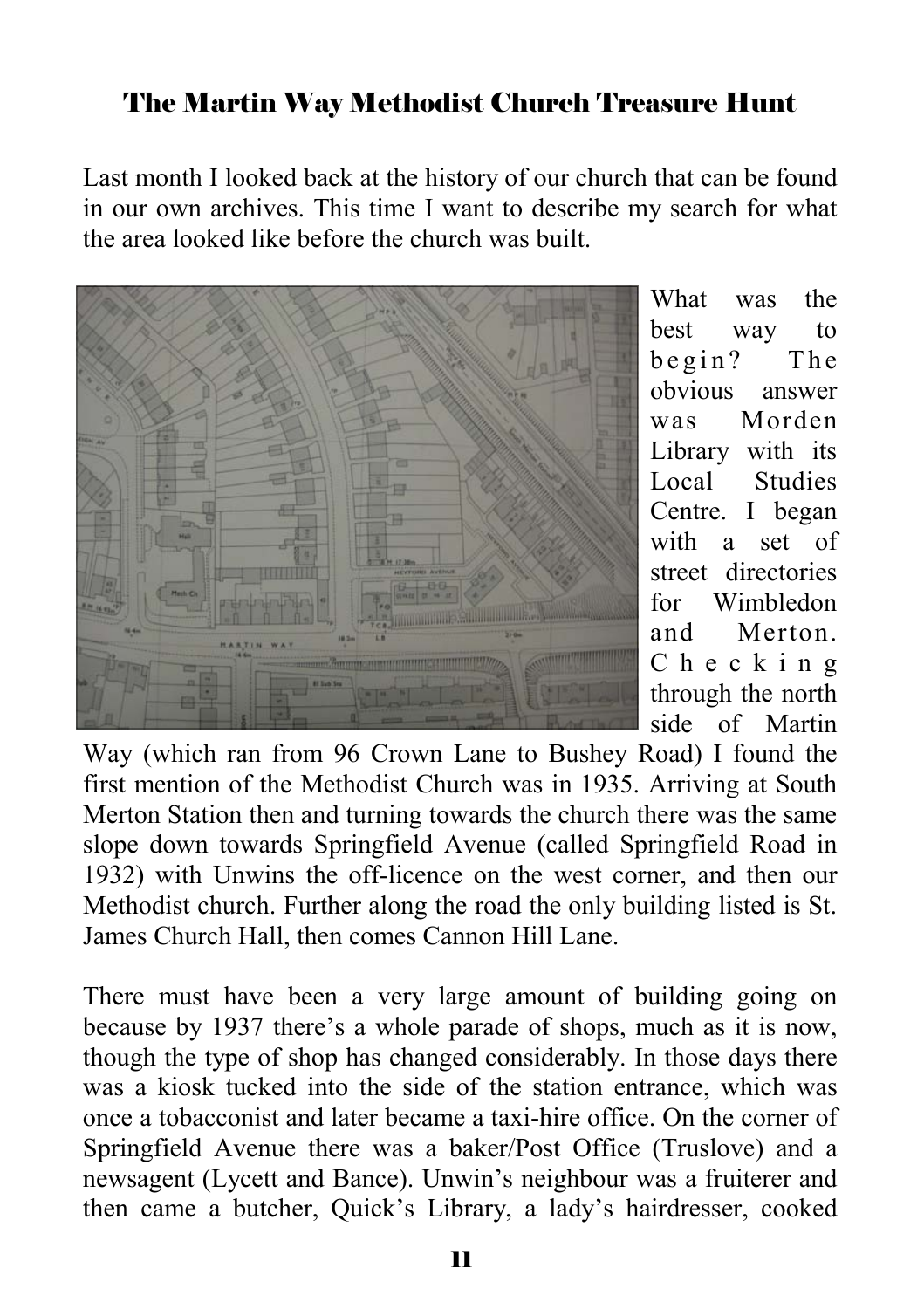# The Martin Way Methodist Church Treasure Hunt

Last month I looked back at the history of our church that can be found in our own archives. This time I want to describe my search for what the area looked like before the church was built.



What was the best way to  $begin?$  The obvious answer was Morden Library with its Local Studies Centre. I began with a set of street directories for Wimbledon and Merton. C h e c k i n g through the north side of Martin

Way (which ran from 96 Crown Lane to Bushey Road) I found the first mention of the Methodist Church was in 1935. Arriving at South Merton Station then and turning towards the church there was the same slope down towards Springfield Avenue (called Springfield Road in 1932) with Unwins the off-licence on the west corner, and then our Methodist church. Further along the road the only building listed is St. James Church Hall, then comes Cannon Hill Lane.

There must have been a very large amount of building going on because by 1937 there's a whole parade of shops, much as it is now, though the type of shop has changed considerably. In those days there was a kiosk tucked into the side of the station entrance, which was once a tobacconist and later became a taxi-hire office. On the corner of Springfield Avenue there was a baker/Post Office (Truslove) and a newsagent (Lycett and Bance). Unwin's neighbour was a fruiterer and then came a butcher, Quick's Library, a lady's hairdresser, cooked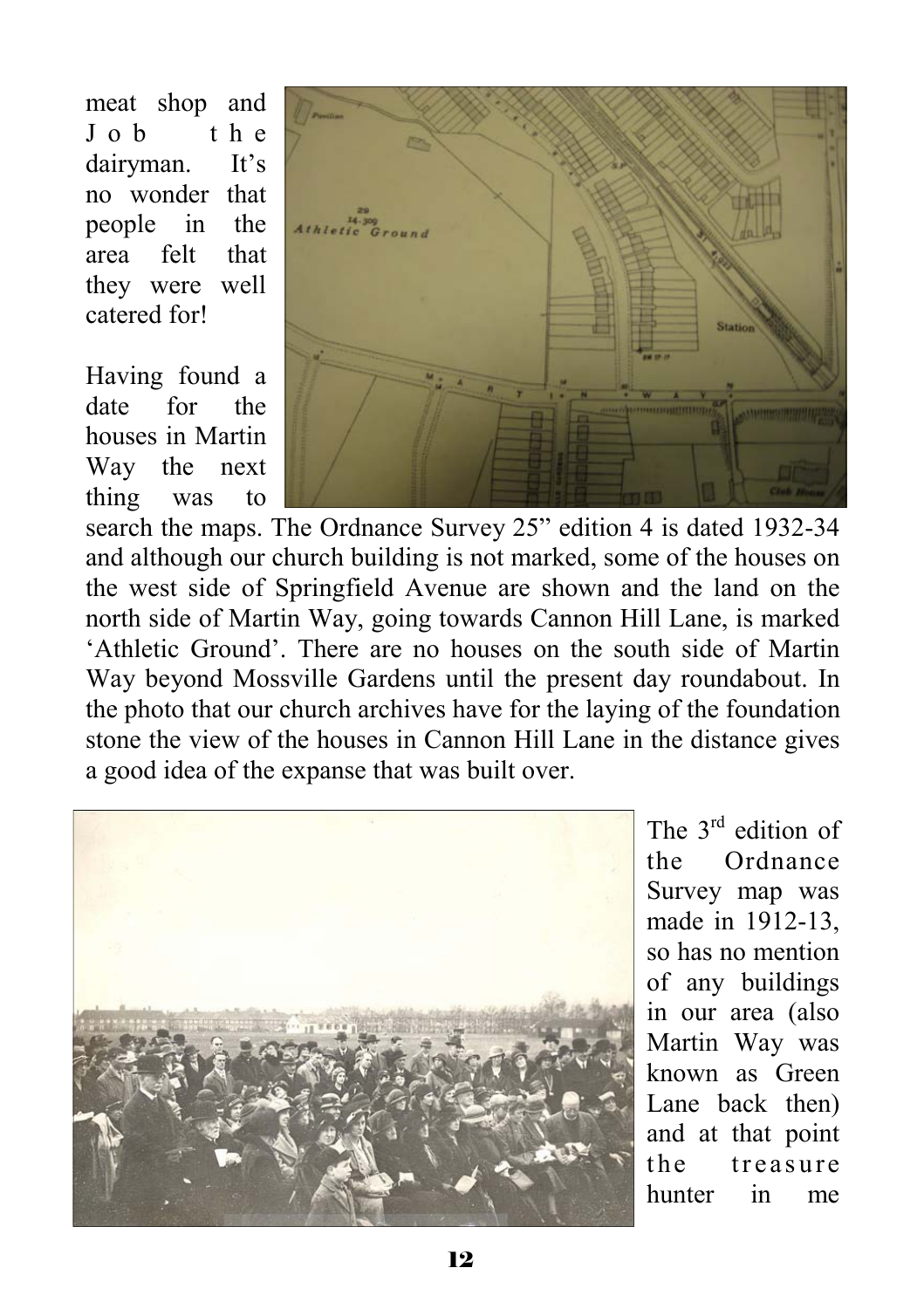meat shop and J o b t h e dairyman. It's no wonder that people in the area felt that they were well catered for!

Having found a date for the houses in Martin Way the next thing was to



search the maps. The Ordnance Survey 25" edition 4 is dated 1932-34 and although our church building is not marked, some of the houses on the west side of Springfield Avenue are shown and the land on the north side of Martin Way, going towards Cannon Hill Lane, is marked 'Athletic Ground'. There are no houses on the south side of Martin Way beyond Mossville Gardens until the present day roundabout. In the photo that our church archives have for the laying of the foundation stone the view of the houses in Cannon Hill Lane in the distance gives a good idea of the expanse that was built over.



The 3<sup>rd</sup> edition of the Ordnance Survey map was made in 1912-13, so has no mention of any buildings in our area (also Martin Way was known as Green Lane back then) and at that point the treasure hunter in me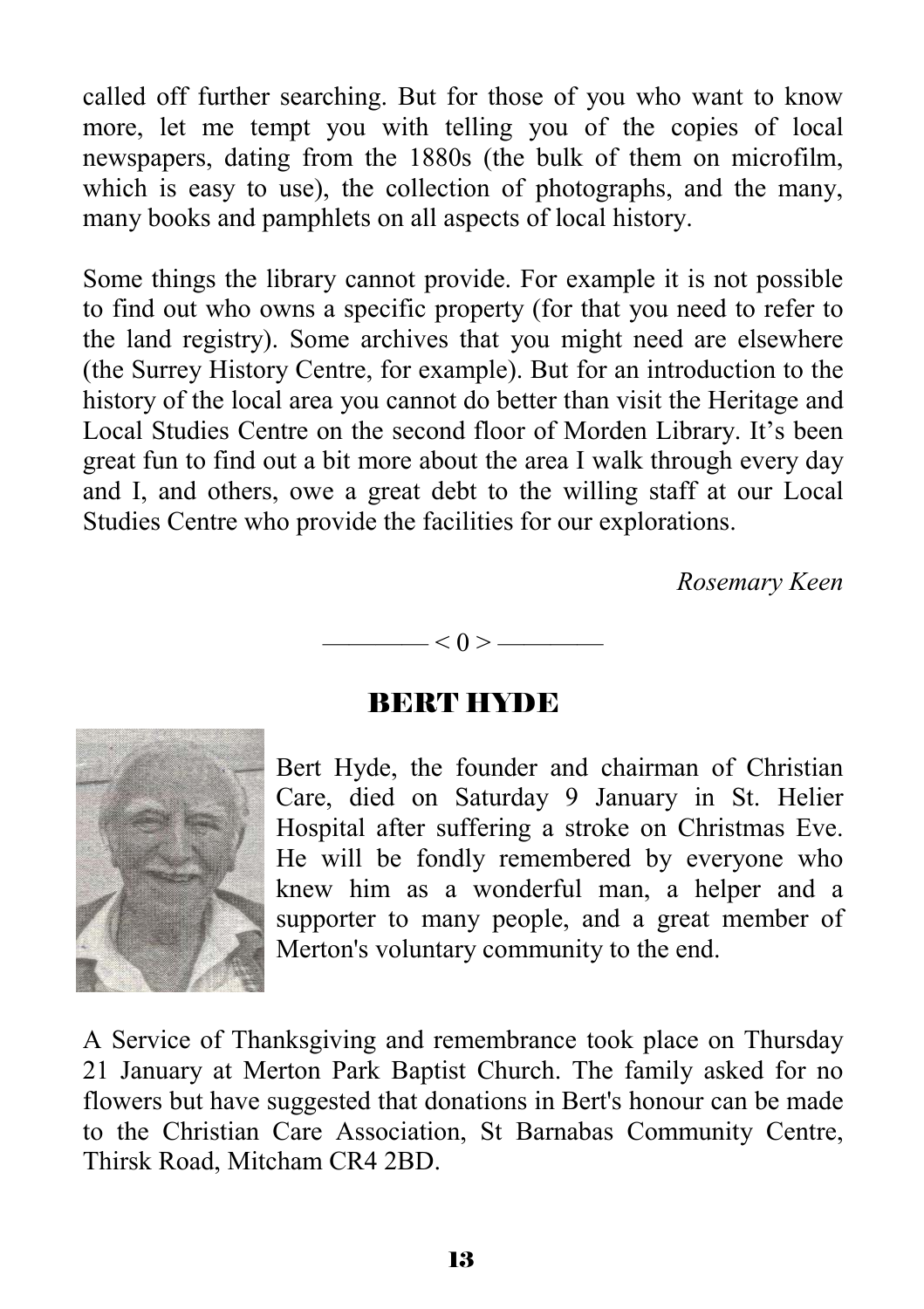called off further searching. But for those of you who want to know more, let me tempt you with telling you of the copies of local newspapers, dating from the 1880s (the bulk of them on microfilm, which is easy to use), the collection of photographs, and the many, many books and pamphlets on all aspects of local history.

Some things the library cannot provide. For example it is not possible to find out who owns a specific property (for that you need to refer to the land registry). Some archives that you might need are elsewhere (the Surrey History Centre, for example). But for an introduction to the history of the local area you cannot do better than visit the Heritage and Local Studies Centre on the second floor of Morden Library. It's been great fun to find out a bit more about the area I walk through every day and I, and others, owe a great debt to the willing staff at our Local Studies Centre who provide the facilities for our explorations.

*Rosemary Keen* 



#### BERT HYDE



Bert Hyde, the founder and chairman of Christian Care, died on Saturday 9 January in St. Helier Hospital after suffering a stroke on Christmas Eve. He will be fondly remembered by everyone who knew him as a wonderful man, a helper and a supporter to many people, and a great member of Merton's voluntary community to the end.

A Service of Thanksgiving and remembrance took place on Thursday 21 January at Merton Park Baptist Church. The family asked for no flowers but have suggested that donations in Bert's honour can be made to the Christian Care Association, St Barnabas Community Centre, Thirsk Road, Mitcham CR4 2BD.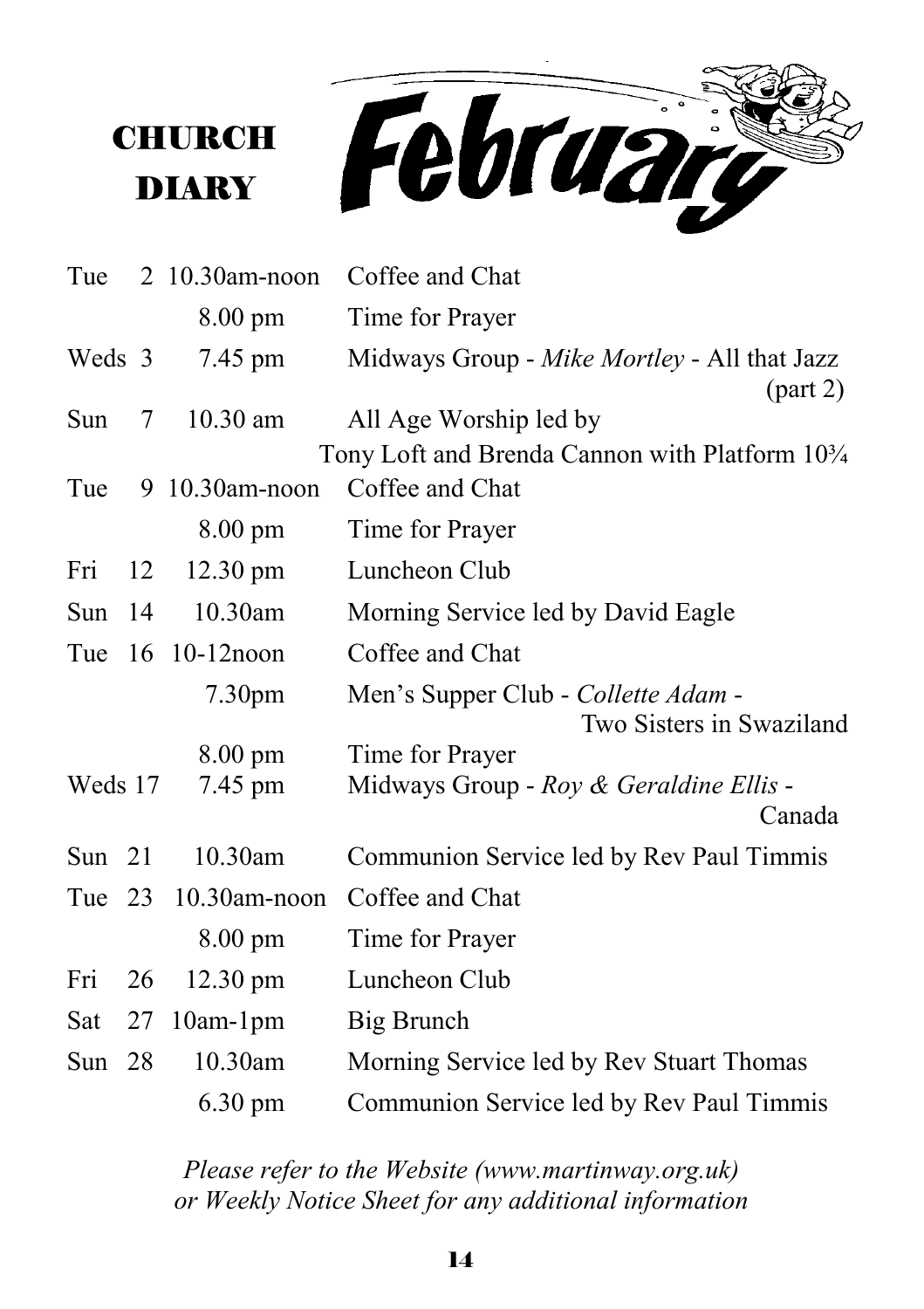**CHURCH** DIARY



| Tue      |    | 2 10.30am-noon     | Coffee and Chat                                                 |
|----------|----|--------------------|-----------------------------------------------------------------|
|          |    | $8.00 \text{ pm}$  | Time for Prayer                                                 |
| Weds 3   |    | 7.45 pm            | Midways Group - Mike Mortley - All that Jazz<br>(part 2)        |
| Sun      | 7  | $10.30$ am         | All Age Worship led by                                          |
|          |    |                    | Tony Loft and Brenda Cannon with Platform 10 <sup>3</sup> /4    |
| Tue      |    | 9 10.30am-noon     | Coffee and Chat                                                 |
|          |    | $8.00 \text{ pm}$  | Time for Prayer                                                 |
| Fri      | 12 | $12.30 \text{ pm}$ | Luncheon Club                                                   |
| Sun      | 14 | 10.30am            | Morning Service led by David Eagle                              |
|          |    | Tue 16 10-12 noon  | Coffee and Chat                                                 |
|          |    | 7.30 <sub>pm</sub> | Men's Supper Club - Collette Adam -<br>Two Sisters in Swaziland |
|          |    | $8.00 \text{ pm}$  | Time for Prayer                                                 |
| Weds 17  |    | 7.45 pm            | Midways Group - Roy & Geraldine Ellis -<br>Canada               |
| Sun $21$ |    | 10.30am            | Communion Service led by Rev Paul Timmis                        |
| Tue 23   |    | $10.30$ am-noon    | Coffee and Chat                                                 |
|          |    | $8.00 \text{ pm}$  | Time for Prayer                                                 |
| Fri      | 26 | $12.30 \text{ pm}$ | Luncheon Club                                                   |
| Sat      | 27 | $10am-1pm$         | Big Brunch                                                      |
| Sun $28$ |    | 10.30am            | Morning Service led by Rev Stuart Thomas                        |
|          |    | $6.30 \text{ pm}$  | Communion Service led by Rev Paul Timmis                        |

*Please refer to the Website (www.martinway.org.uk) or Weekly Notice Sheet for any additional information*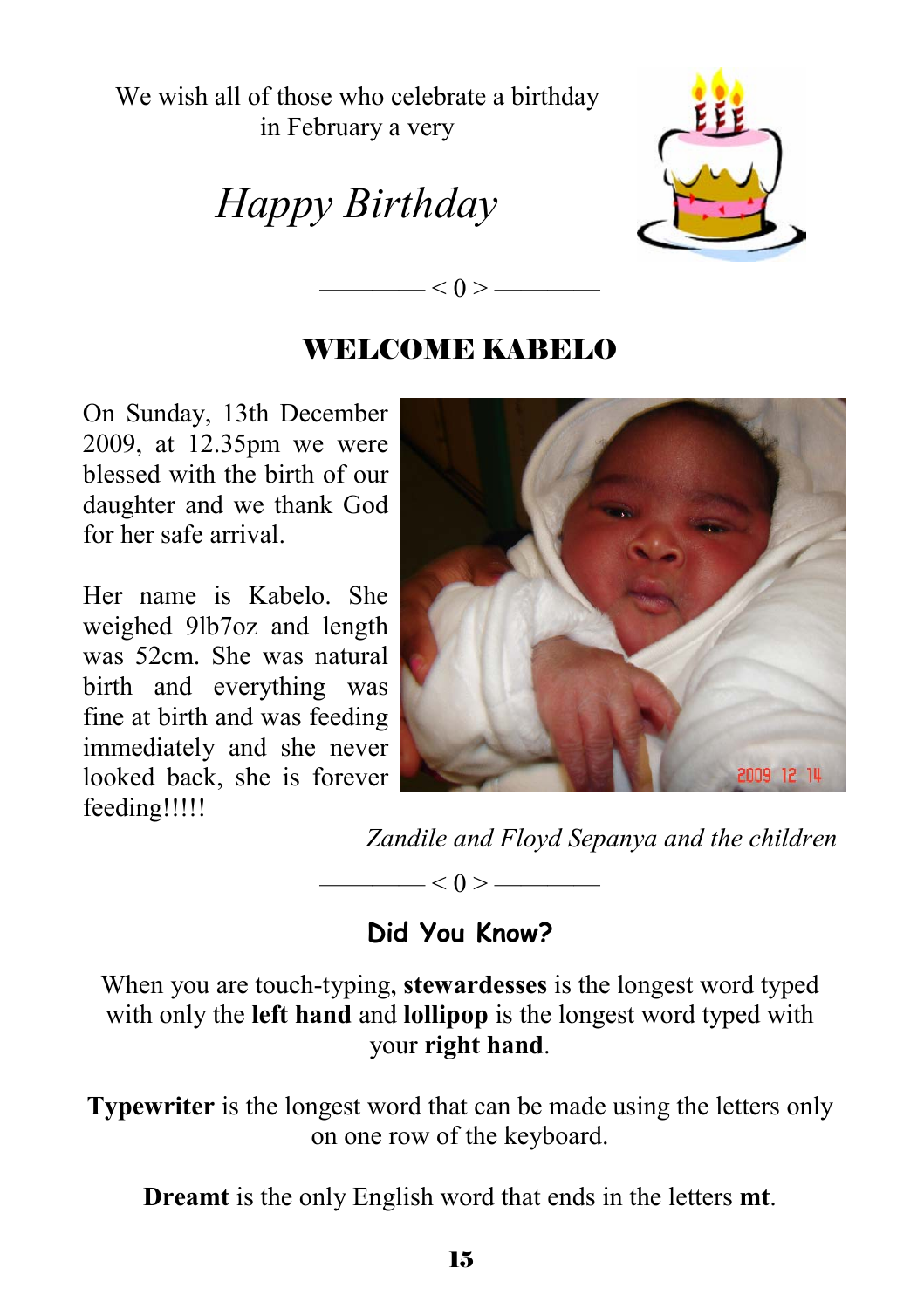We wish all of those who celebrate a birthday in February a very

*Happy Birthday* 



#### WELCOME KABELO

—— $< 0 > -$ 

On Sunday, 13th December 2009, at 12.35pm we were blessed with the birth of our daughter and we thank God for her safe arrival.

Her name is Kabelo. She weighed 9lb7oz and length was 52cm. She was natural birth and everything was fine at birth and was feeding immediately and she never looked back, she is forever feeding!!!!!



*Zandile and Floyd Sepanya and the children* 

 $-$  < 0 >  $-$ 

#### **Did You Know?**

When you are touch-typing, **stewardesses** is the longest word typed with only the **left hand** and **lollipop** is the longest word typed with your **right hand**.

**Typewriter** is the longest word that can be made using the letters only on one row of the keyboard.

**Dreamt** is the only English word that ends in the letters **mt**.